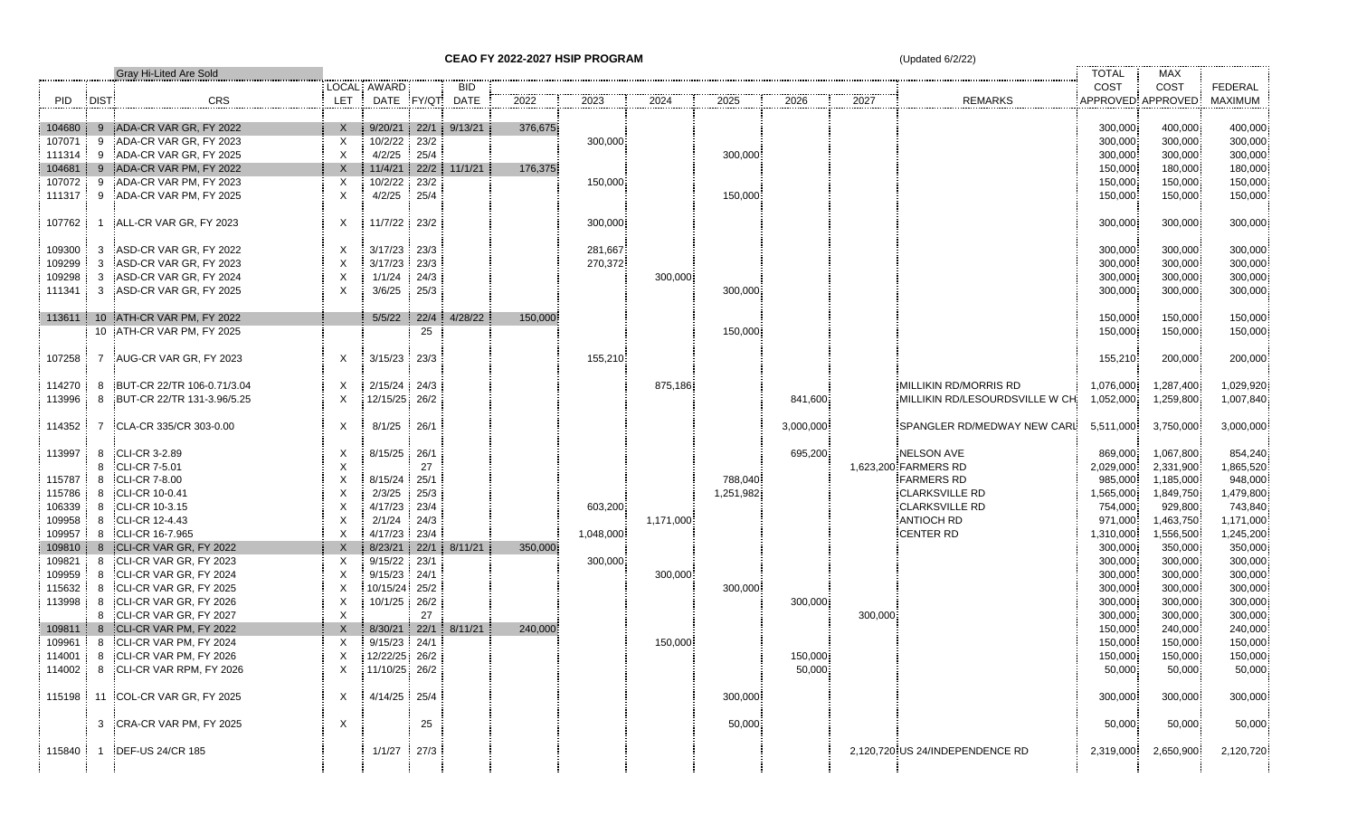|          |          | <b>Gray Hi-Lited Are Sold</b>    |              |               |                  |                      |         |           |           |           |           |         |                                 | <b>TOTAL</b> | MAX               |                |
|----------|----------|----------------------------------|--------------|---------------|------------------|----------------------|---------|-----------|-----------|-----------|-----------|---------|---------------------------------|--------------|-------------------|----------------|
|          |          |                                  |              | LOCAL AWARD   |                  | BID                  |         |           |           |           |           |         |                                 | COST         | COST              | <b>FEDERAL</b> |
|          | PID DIST | CRS                              | <b>LET</b>   |               |                  | DATE FY/QT DATE      | 2022    | 2023      | 2024      | 2025      | 2026      | 2027    | REMARKS                         |              | APPROVED APPROVED | MAXIMUM        |
|          |          |                                  |              |               |                  |                      |         |           |           |           |           |         |                                 |              |                   |                |
| 104680:  | -9       | ADA-CR VAR GR, FY 2022           | $\mathsf{X}$ | 9/20/21       |                  | $22/1$ 9/13/21       | 376,675 |           |           |           |           |         |                                 | 300,000      | 400,000           | 400,000        |
| 107071   | 9        | ADA-CR VAR GR, FY 2023           | X            | 10/2/22       | 23/2             |                      |         | 300,000   |           |           |           |         |                                 | 300,000      | 300,000           | 300,000        |
| 111314   | 9        | ADA-CR VAR GR, FY 2025           | X            | 4/2/25        | 25/4             |                      |         |           |           | 300,000   |           |         |                                 | 300,000      | 300,000           | 300,000        |
| 104681   | 9        | ADA-CR VAR PM, FY 2022           | $\times$     | 11/4/21       | 22/2             | 11/1/21              | 176,375 |           |           |           |           |         |                                 | 150,000      | 180,000           | 180,000        |
| 107072   | 9        | ADA-CR VAR PM, FY 2023           | X            | 10/2/22       | 23/2             |                      |         | 150,000   |           |           |           |         |                                 | 150,000      | 150,000           | 150,000        |
| 111317   | -9       | ADA-CR VAR PM, FY 2025           | X            | 4/2/25        | 25/4             |                      |         |           |           | 150,000   |           |         |                                 | 150,000      | 150,000           | 150,000        |
|          |          |                                  |              |               |                  |                      |         |           |           |           |           |         |                                 |              |                   |                |
| 107762 1 |          | ALL-CR VAR GR, FY 2023           | Χ            | 11/7/22 23/2  |                  |                      |         | 300,000   |           |           |           |         |                                 | 300,000      | 300,000           | 300,000        |
|          |          |                                  |              |               |                  |                      |         |           |           |           |           |         |                                 |              |                   |                |
| 109300   | - 3      | ASD-CR VAR GR, FY 2022           | X            | 3/17/23 23/3  |                  |                      |         | 281,667   |           |           |           |         |                                 | 300,000      | 300,000           | 300,000        |
| 109299   | -3       | ASD-CR VAR GR, FY 2023           | $\times$     | 3/17/23       | 23/3             |                      |         | 270,372   |           |           |           |         |                                 | 300,000      | 300,000           | 300,000        |
| 109298   | -3       | ASD-CR VAR GR, FY 2024           | X            | 1/1/24        | 24/3             |                      |         |           | 300,000   |           |           |         |                                 | 300,000      | 300,000           | 300,000        |
| 111341   | -3       | ASD-CR VAR GR, FY 2025           | $\times$     | 3/6/25        | 25/3             |                      |         |           |           | 300,000   |           |         |                                 | 300,000      | 300,000           | 300,000        |
|          |          |                                  |              |               |                  |                      |         |           |           |           |           |         |                                 |              |                   |                |
|          |          | 113611 10 ATH-CR VAR PM, FY 2022 |              | 5/5/22        |                  | 22/4 4/28/22         | 150,000 |           |           |           |           |         |                                 | 150,000      | 150,000           | 150,000        |
|          |          | 10 ATH-CR VAR PM, FY 2025        |              |               | 25               |                      |         |           |           | 150,000   |           |         |                                 | 150,000      | 150,000           | 150,000        |
|          |          |                                  |              |               |                  |                      |         |           |           |           |           |         |                                 |              |                   |                |
|          |          | 107258 7 AUG-CR VAR GR, FY 2023  | X            | 3/15/23 23/3  |                  |                      |         | 155,210   |           |           |           |         |                                 | 155,210      | 200,000           | 200,000        |
|          |          |                                  |              |               |                  |                      |         |           |           |           |           |         |                                 |              |                   |                |
| 114270   | -8       | BUT-CR 22/TR 106-0.71/3.04       | Χ            | 2/15/24 24/3  |                  |                      |         |           | 875,186   |           |           |         | MILLIKIN RD/MORRIS RD           | 1,076,000    | 1,287,400         | 1,029,920      |
| 113996   | -8       | BUT-CR 22/TR 131-3.96/5.25       | X            | 12/15/25 26/2 |                  |                      |         |           |           |           | 841,600   |         | MILLIKIN RD/LESOURDSVILLE W CH. | 1,052,000    | 1,259,800         | 1,007,840      |
|          |          |                                  |              |               |                  |                      |         |           |           |           |           |         |                                 |              |                   |                |
| 114352 7 |          | CLA-CR 335/CR 303-0.00           | X            | 8/1/25 26/1   |                  |                      |         |           |           |           | 3,000,000 |         | SPANGLER RD/MEDWAY NEW CARL     | 5,511,000    | 3,750,000         | 3,000,000      |
| 113997   | - 8      | CLI-CR 3-2.89                    | Х            | 8/15/25 26/1  |                  |                      |         |           |           |           | 695,200   |         | <b>NELSON AVE</b>               | 869,000      | 1,067,800         | 854,240        |
|          | 8        | <b>CLI-CR 7-5.01</b>             |              |               | 27               |                      |         |           |           |           |           |         | 1,623,200 FARMERS RD            | 2,029,000    | 2,331,900         | 1,865,520      |
| 115787   | - 8      | <b>CLI-CR 7-8.00</b>             | $\times$     | 8/15/24 25/1  |                  |                      |         |           |           | 788,040   |           |         | <b>FARMERS RD</b>               | 985,000      | 1,185,000         | 948,000        |
| 115786 : | -8       | CLI-CR 10-0.41                   | Χ            | 2/3/25        | 25/3             |                      |         |           |           | 1,251,982 |           |         | <b>CLARKSVILLE RD</b>           | 1,565,000    | 1,849,750         | 1,479,800      |
| 106339   | -8       | CLI-CR 10-3.15                   | X            | 4/17/23       | 23/4             |                      |         | 603,200   |           |           |           |         | <b>CLARKSVILLE RD</b>           | 754,000      | 929,800           | 743,840        |
| 109958   | 8        | CLI-CR 12-4.43                   | X            | 2/1/24        | 24/3             |                      |         |           | 1,171,000 |           |           |         | <b>ANTIOCH RD</b>               | 971,000      | 1,463,750         | 1,171,000      |
| 109957   | 8        | CLI-CR 16-7.965                  | X            | 4/17/23 23/4  |                  |                      |         | 1,048,000 |           |           |           |         | <b>CENTER RD</b>                | 1,310,000    | 1,556,500         | 1,245,200      |
| 109810 : | 8        | CLI-CR VAR GR, FY 2022           | X            | 8/23/21       | $\frac{1}{22/1}$ | 8/11/21              | 350,000 |           |           |           |           |         |                                 | 300,000      | 350,000           | 350,000        |
| 109821   | 8        | CLI-CR VAR GR, FY 2023           | Χ            | 9/15/22 23/1  |                  |                      |         | 300,000   |           |           |           |         |                                 | 300,000      | 300,000           | 300,000        |
| 109959   | -8       | CLI-CR VAR GR, FY 2024           | X            | 9/15/23 24/1  |                  |                      |         |           | 300,000   |           |           |         |                                 | 300,000      | 300,000           | 300,000        |
| 115632   | 8        | CLI-CR VAR GR, FY 2025           | $\times$     | 10/15/24 25/2 |                  |                      |         |           |           | 300,000   |           |         |                                 | 300,000      | 300,000           | 300,000        |
| 113998   | -8       | CLI-CR VAR GR, FY 2026           | X            | 10/1/25 26/2  |                  |                      |         |           |           |           | 300,000   |         |                                 | 300,000      | 300,000           | 300,000        |
|          | 8        | CLI-CR VAR GR, FY 2027           | X            |               | 27               |                      |         |           |           |           |           | 300,000 |                                 | 300,000      | 300,000           | 300,000        |
| 109811   | 8        | CLI-CR VAR PM, FY 2022           | $\times$     |               |                  | 8/30/21 22/1 8/11/21 | 240,000 |           |           |           |           |         |                                 | 150,000      | 240,000           | 240,000        |
| 109961   | 8        | CLI-CR VAR PM, FY 2024           | X            | 9/15/23 24/1  |                  |                      |         |           | 150,000   |           |           |         |                                 | 150,000      | 150,000           | 150,000        |
|          |          | 114001 8 CLI-CR VAR PM, FY 2026  | X            | 12/22/25 26/2 |                  |                      |         |           |           |           | 150,000   |         |                                 | 150,000      | 150,000           | 150,000        |
|          |          | 114002 8 CLI-CR VAR RPM, FY 2026 |              | 11/10/25 26/2 |                  |                      |         |           |           |           | 50,000    |         |                                 | 50,000       | 50,000            | 50,000         |
|          |          |                                  |              |               |                  |                      |         |           |           |           |           |         |                                 |              |                   |                |
|          |          | 115198 11 COL-CR VAR GR, FY 2025 | X            | 4/14/25 25/4  |                  |                      |         |           |           | 300,000   |           |         |                                 | 300,000      | 300,000           | 300,000        |
|          |          |                                  |              |               |                  |                      |         |           |           |           |           |         |                                 |              |                   |                |
|          |          | 3 CRA-CR VAR PM, FY 2025         | X            |               | 25               |                      |         |           |           | 50,000    |           |         |                                 | 50,000       | 50,000            | 50,000         |
|          |          |                                  |              |               |                  |                      |         |           |           |           |           |         |                                 |              |                   |                |
|          |          | 115840 1 DEF-US 24/CR 185        |              | $1/1/27$ 27/3 |                  |                      |         |           |           |           |           |         | 2,120,720 US 24/INDEPENDENCE RD | 2,319,000    | 2,650,900         | 2,120,720      |
|          |          |                                  |              |               |                  |                      |         |           |           |           |           |         |                                 |              |                   |                |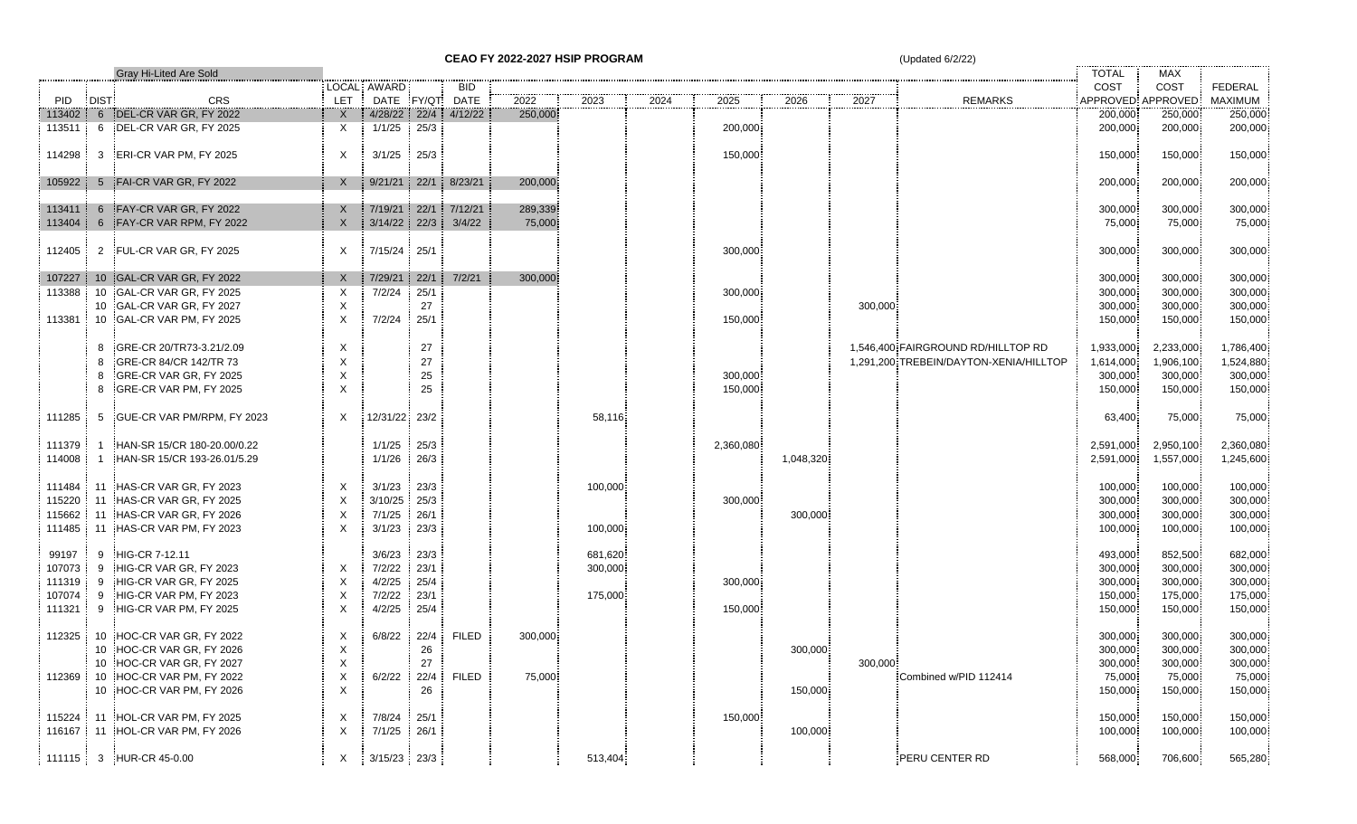|            |                 | <b>Gray Hi-Lited Are Sold</b>    |                           |                |       |              |         |         |      |           |           |         |                                        |           | MAX               |                |
|------------|-----------------|----------------------------------|---------------------------|----------------|-------|--------------|---------|---------|------|-----------|-----------|---------|----------------------------------------|-----------|-------------------|----------------|
|            |                 |                                  |                           | LOCAL AWARD:   |       | <b>BID</b>   |         |         |      |           |           |         |                                        | COST      | COST              | <b>FEDERAL</b> |
| <b>PID</b> | DIST:           | <b>CRS</b>                       | LET                       | DATE           | FY/QT | DATE         | 2022    | 2023    | 2024 | 2025      | 2026      | 2027    | <b>REMARKS</b>                         |           | APPROVED APPROVED | MAXIMUM        |
| 113402     |                 | 6 DEL-CR VAR GR, FY 2022         | $\times$                  | 4/28/22        |       | 22/4 4/12/22 | 250,000 |         |      |           |           |         |                                        | 200,000   | 250,000           | 250,000        |
| 113511     | 6               | DEL-CR VAR GR, FY 2025           | $\times$                  | 1/1/25         | 25/3  |              |         |         |      | 200,000   |           |         |                                        | 200,000   | 200,000           | 200,000        |
|            |                 |                                  |                           |                |       |              |         |         |      |           |           |         |                                        |           |                   |                |
| 114298     |                 | 3 ERI-CR VAR PM, FY 2025         | $\times$                  | 3/1/25         | 25/3  |              |         |         |      | 150,000   |           |         |                                        | 150,000   | 150,000           | 150,000        |
|            |                 |                                  |                           |                |       |              |         |         |      |           |           |         |                                        |           |                   |                |
| 105922     | $5\overline{)}$ | FAI-CR VAR GR, FY 2022           | $\times$                  | 9/21/21        |       | 22/1 8/23/21 | 200,000 |         |      |           |           |         |                                        | 200,000   | 200,000           | 200,000        |
|            |                 |                                  |                           |                |       |              |         |         |      |           |           |         |                                        |           |                   |                |
| 113411     | 6               | FAY-CR VAR GR, FY 2022           | X                         | 7/19/21        | 22/1  | 7/12/21      | 289,339 |         |      |           |           |         |                                        | 300,000   | 300,000           | 300,000        |
| 113404     | 6               | FAY-CR VAR RPM, FY 2022          | $\times$                  | 3/14/22        | 22/3  | 3/4/22       | 75,000  |         |      |           |           |         |                                        | 75,000    | 75,000            | 75,000         |
|            |                 |                                  |                           |                |       |              |         |         |      |           |           |         |                                        |           |                   |                |
| 112405     |                 | 2 FUL-CR VAR GR, FY 2025         | $\times$                  | 7/15/24 25/1   |       |              |         |         |      | 300,000   |           |         |                                        | 300,000   | 300,000           | 300,000        |
|            |                 |                                  |                           |                |       |              |         |         |      |           |           |         |                                        |           |                   |                |
| 107227     |                 | 10 GAL-CR VAR GR, FY 2022        | $\times$                  | 7/29/21        | 22/1  | 7/2/21       | 300,000 |         |      |           |           |         |                                        | 300,000   | 300,000           | 300,000        |
| 113388     |                 | 10 GAL-CR VAR GR, FY 2025        | $\times$                  | 7/2/24         | 25/1  |              |         |         |      | 300,000   |           |         |                                        | 300,000   | 300,000           | 300,000        |
|            |                 | 10 GAL-CR VAR GR. FY 2027        | $\times$                  |                | 27    |              |         |         |      |           |           | 300,000 |                                        | 300,000   | 300,000:          | 300,000        |
|            |                 | 113381 10 GAL-CR VAR PM, FY 2025 | $\times$                  | 7/2/24         | 25/1  |              |         |         |      | 150,000   |           |         |                                        | 150,000   | 150,000           | 150,000        |
|            |                 |                                  |                           |                |       |              |         |         |      |           |           |         |                                        |           |                   |                |
|            | 8               | GRE-CR 20/TR73-3.21/2.09         | $\times$                  |                | 27    |              |         |         |      |           |           |         | 1,546,400 FAIRGROUND RD/HILLTOP RD     | 1,933,000 | 2,233,000         | 1,786,400      |
|            | 8               | GRE-CR 84/CR 142/TR 73           |                           |                | 27    |              |         |         |      |           |           |         | 1,291,200 TREBEIN/DAYTON-XENIA/HILLTOP | 1,614,000 | 1,906,100         | 1,524,880      |
|            | 8               | GRE-CR VAR GR, FY 2025           | Х                         |                | 25    |              |         |         |      | 300,000   |           |         |                                        | 300,000   | 300,000           | 300,000        |
|            | 8               | GRE-CR VAR PM, FY 2025           | X                         |                | 25    |              |         |         |      | 150,000   |           |         |                                        | 150,000   | 150,000           | 150,000        |
|            |                 |                                  |                           |                |       |              |         |         |      |           |           |         |                                        |           |                   |                |
| 111285     |                 | 5 GUE-CR VAR PM/RPM, FY 2023     | $\times$                  | 12/31/22 23/2  |       |              |         | 58,116  |      |           |           |         |                                        | 63,400    | 75,000            | 75,000         |
|            |                 |                                  |                           |                |       |              |         |         |      |           |           |         |                                        |           |                   |                |
| 111379     |                 | HAN-SR 15/CR 180-20.00/0.22      |                           | 1/1/25         | 25/3  |              |         |         |      | 2,360,080 |           |         |                                        | 2,591,000 | 2,950,100         | 2,360,080      |
| 114008     | -1              | HAN-SR 15/CR 193-26.01/5.29      |                           | 1/1/26         | 26/3  |              |         |         |      |           | 1,048,320 |         |                                        | 2,591,000 | 1,557,000         | 1,245,600      |
|            |                 |                                  |                           |                |       |              |         |         |      |           |           |         |                                        |           |                   |                |
| 111484     | 11              | HAS-CR VAR GR. FY 2023           | $\times$                  | 3/1/23         | 23/3  |              |         | 100,000 |      |           |           |         |                                        | 100,000   | 100,000           | 100,000        |
| 115220     | 11              | HAS-CR VAR GR, FY 2025           | $\times$                  | 3/10/25        | 25/3  |              |         |         |      | 300,000   |           |         |                                        | 300,000   | 300,000           | 300,000        |
| 115662     | 11              | HAS-CR VAR GR, FY 2026           | $\times$                  | 7/1/25         | 26/1  |              |         |         |      |           | 300,000   |         |                                        | 300,000   | 300,000           | 300,000        |
| 111485     |                 | 11 HAS-CR VAR PM, FY 2023        | $\times$                  | 3/1/23         | 23/3  |              |         | 100,000 |      |           |           |         |                                        | 100,000   | 100,000           | 100,000        |
|            |                 |                                  |                           |                |       |              |         |         |      |           |           |         |                                        |           |                   |                |
| 99197      | 9               | HIG-CR 7-12.11                   |                           | 3/6/23         | 23/3  |              |         | 681,620 |      |           |           |         |                                        | 493,000   | 852,500           | 682,000        |
| 107073     | 9               | HIG-CR VAR GR, FY 2023           | $\times$                  | 7/2/22         | 23/1  |              |         | 300,000 |      |           |           |         |                                        | 300,000   | 300,000           | 300,000        |
| 111319     | 9               | HIG-CR VAR GR, FY 2025           | $\boldsymbol{\mathsf{X}}$ | 4/2/25         | 25/4  |              |         |         |      | 300,000   |           |         |                                        | 300,000   | 300,000           | 300,000        |
| 107074     | 9               | HIG-CR VAR PM, FY 2023           | X                         | 7/2/22         | 23/1  |              |         | 175,000 |      |           |           |         |                                        | 150,000   | 175,000           | 175,000        |
| 111321     | 9               | HIG-CR VAR PM, FY 2025           | $\times$                  | 4/2/25         | 25/4  |              |         |         |      | 150,000   |           |         |                                        | 150,000   | 150,000           | 150,000        |
|            |                 |                                  |                           |                |       |              |         |         |      |           |           |         |                                        |           |                   |                |
|            |                 | 112325 10 HOC-CR VAR GR, FY 2022 | $\times$                  | 6/8/22         | 22/4  | <b>FILED</b> | 300,000 |         |      |           |           |         |                                        | 300,000   | 300,000           | 300,000        |
|            |                 | 10 HOC-CR VAR GR, FY 2026        | $\times$                  |                | 26    |              |         |         |      |           | 300,000   |         |                                        | 300,000   | 300,000:          | 300,000        |
|            |                 | 10 HOC-CR VAR GR, FY 2027        | $\times$                  |                | 27    |              |         |         |      |           |           | 300.000 |                                        | 300,000   | 300,000           | 300,000        |
|            |                 | 112369 10 HOC-CR VAR PM, FY 2022 | $\times$                  | 6/2/22         | 22/4  | <b>FILED</b> | 75,000  |         |      |           |           |         | Combined w/PID 112414                  | 75,000    | 75,000            | 75,000         |
|            |                 | 10 HOC-CR VAR PM, FY 2026        | X                         |                | 26    |              |         |         |      |           | 150,000   |         |                                        | 150,000   | 150,000           | 150,000        |
|            |                 |                                  |                           |                |       |              |         |         |      |           |           |         |                                        |           |                   |                |
| 115224     |                 | 11 HOL-CR VAR PM, FY 2025        | X                         | 7/8/24         | 25/1  |              |         |         |      | 150,000   |           |         |                                        | 150,000   | 150,000           | 150,000        |
| 116167     | 11              | HOL-CR VAR PM, FY 2026           | $\times$                  | 7/1/25         | 26/1  |              |         |         |      |           | 100,000   |         |                                        | 100,000   | 100,000           | 100,000        |
|            |                 |                                  |                           |                |       |              |         |         |      |           |           |         |                                        |           |                   |                |
|            |                 | 111115 3 HUR-CR 45-0.00          | X                         | $3/15/23$ 23/3 |       |              |         | 513,404 |      |           |           |         | PERU CENTER RD                         | 568,000   | 706,600           | 565,280        |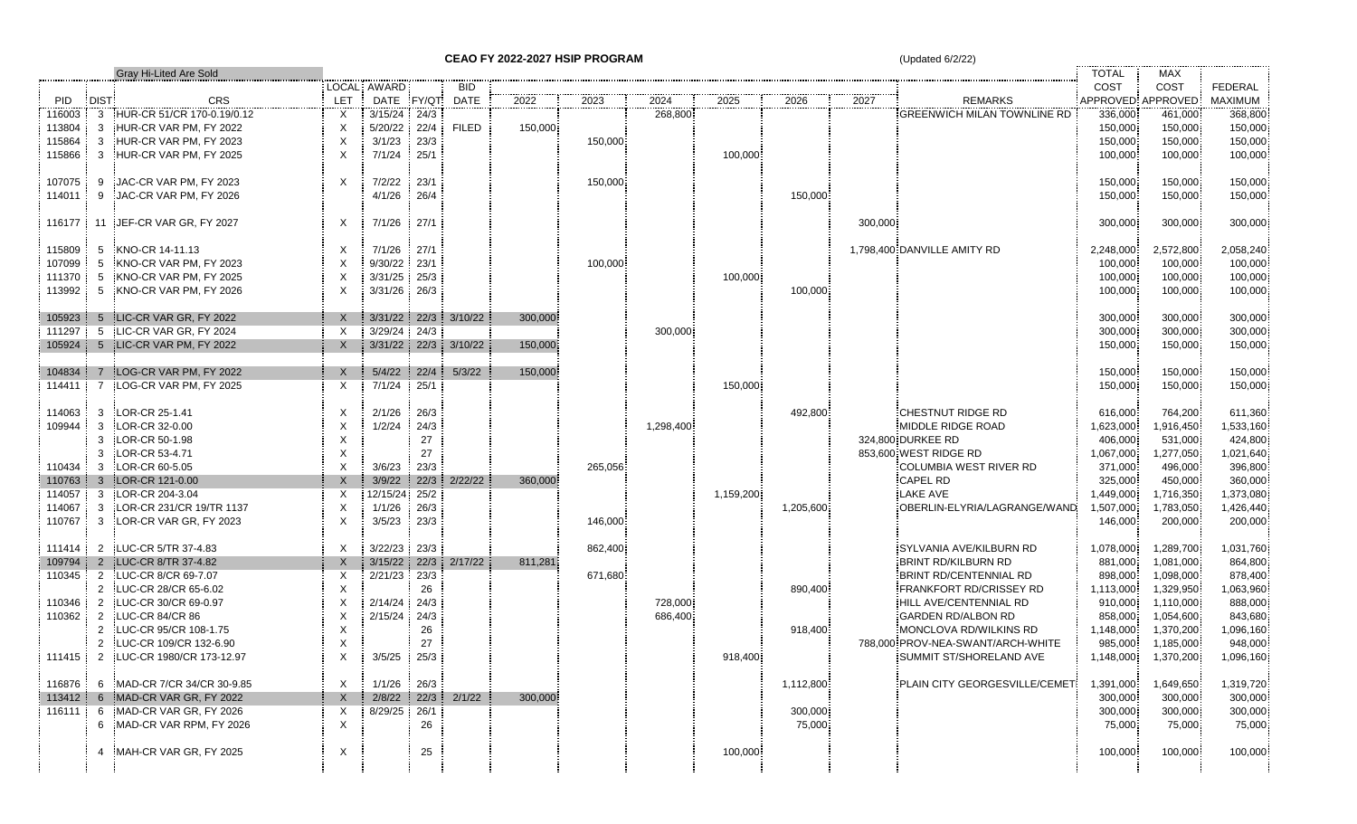|                  |                | Gray Hi-Lited Are Sold             |            |              |         |                      |         |         |           |           |           |         |                                    | TOTAL                | MAX                    |                      |
|------------------|----------------|------------------------------------|------------|--------------|---------|----------------------|---------|---------|-----------|-----------|-----------|---------|------------------------------------|----------------------|------------------------|----------------------|
|                  |                |                                    |            | LOCAL AWARD  |         | BID                  |         |         |           |           |           |         |                                    | COST                 | COST                   | <b>FEDERAL</b>       |
| PID              | DIST:          | <b>CRS</b>                         | <b>LET</b> | DATE FY/QT   |         | DATE                 | 2022    | 2023    | 2024      | 2025      | 2026      | 2027    | <b>REMARKS</b>                     |                      | APPROVED APPROVED:     | MAXIMUM              |
| 116003           | -3             | HUR-CR 51/CR 170-0.19/0.12         | X          | 3/15/24      | 24/3    |                      |         |         | 268,800   |           |           |         | <b>GREENWICH MILAN TOWNLINE RD</b> | 336,000              | 461,000                | 368,800              |
| 113804           | -3             | HUR-CR VAR PM, FY 2022             | X          | 5/20/22      | 22/4    | <b>FILED</b>         | 150,000 |         |           |           |           |         |                                    | 150,000              | 150,000                | 150,000              |
| 115864           | -3             | HUR-CR VAR PM, FY 2023             | $\times$   | 3/1/23       | 23/3    |                      |         | 150,000 |           |           |           |         |                                    | 150,000              | 150,000                | 150,000              |
| 115866           | -3             | HUR-CR VAR PM, FY 2025             | X          | 7/1/24       | 25/1    |                      |         |         |           | 100,000   |           |         |                                    | 100,000              | 100,000                | 100,000              |
|                  |                |                                    |            |              |         |                      |         |         |           |           |           |         |                                    |                      |                        |                      |
| 107075           | 9              | JAC-CR VAR PM, FY 2023             | $\times$   | 7/2/22       | 23/1    |                      |         | 150,000 |           |           |           |         |                                    | 150,000              | 150,000                | 150,000              |
| 114011           | -9             | JAC-CR VAR PM, FY 2026             |            | 4/1/26       | 26/4    |                      |         |         |           |           | 150,000   |         |                                    | 150,000              | 150,000                | 150,000              |
|                  |                |                                    |            |              |         |                      |         |         |           |           |           |         |                                    |                      |                        |                      |
|                  |                | 116177 11 JEF-CR VAR GR, FY 2027   | Χ          | 7/1/26       | $-27/1$ |                      |         |         |           |           |           | 300,000 |                                    | 300,000              | 300,000                | 300,000              |
|                  |                |                                    |            |              |         |                      |         |         |           |           |           |         |                                    |                      |                        |                      |
| 115809           | -5             | KNO-CR 14-11.13                    | Χ          | 7/1/26       | 27/1    |                      |         |         |           |           |           |         | 1,798,400 DANVILLE AMITY RD        | 2,248,000            | 2,572,800              | 2,058,240            |
| 107099           | -5             | KNO-CR VAR PM, FY 2023             | X          | 9/30/22      | 23/1    |                      |         | 100,000 |           |           |           |         |                                    | 100,000              | 100,000                | 100,000              |
| 111370           | -5             | KNO-CR VAR PM, FY 2025             | $\times$   | 3/31/25      | 25/3    |                      |         |         |           | 100,000   |           |         |                                    | 100,000              | 100,000                | 100,000              |
| 113992           | - 5            | KNO-CR VAR PM, FY 2026             | $\times$   | 3/31/26 26/3 |         |                      |         |         |           |           | 100,000   |         |                                    | 100,000              | 100,000                | 100,000              |
|                  |                |                                    |            |              |         |                      |         |         |           |           |           |         |                                    |                      |                        |                      |
| 105923:          | -5             | LIC-CR VAR GR, FY 2022             | $\times$   |              |         | 3/31/22 22/3 3/10/22 | 300,000 |         |           |           |           |         |                                    | 300,000              | 300,000                | 300,000              |
| 111297           | 5              | LIC-CR VAR GR, FY 2024             | Χ          | 3/29/24      | $-24/3$ |                      |         |         | 300,000   |           |           |         |                                    | 300,000              | 300,000                | 300,000              |
| 105924           |                | 5 LIC-CR VAR PM, FY 2022           | $\times$   | 3/31/22      |         | 22/3 3/10/22         | 150,000 |         |           |           |           |         |                                    | 150,000              | 150,000                | 150,000              |
|                  |                |                                    |            |              |         |                      |         |         |           |           |           |         |                                    |                      |                        |                      |
| 104834           |                | LOG-CR VAR PM, FY 2022             | $\times$   | 5/4/22       | 22/4    | 5/3/22               | 150,000 |         |           |           |           |         |                                    | 150,000              | 150,000                | 150,000              |
| 114411           | -7             | LOG-CR VAR PM, FY 2025             | Χ          | 7/1/24       | 25/1    |                      |         |         |           | 150,000   |           |         |                                    | 150,000              | 150,000                | 150,000              |
|                  |                |                                    |            |              |         |                      |         |         |           |           |           |         |                                    |                      |                        |                      |
| 114063           | 3              | LOR-CR 25-1.41                     | X          | 2/1/26       | 26/3    |                      |         |         |           |           | 492,800   |         | CHESTNUT RIDGE RD                  | 616,000              | 764,200                | 611,360              |
| 109944           | -3             | LOR-CR 32-0.00                     | $\times$   | 1/2/24       | 24/3    |                      |         |         | 1,298,400 |           |           |         | MIDDLE RIDGE ROAD                  | 1,623,000            | 1,916,450              | 1,533,160            |
|                  | З              | LOR-CR 50-1.98                     | X          |              | 27      |                      |         |         |           |           |           |         | 324,800 DURKEE RD                  | 406,000              | 531,000                | 424,800              |
|                  |                | LOR-CR 53-4.71                     | X          |              | 27      |                      |         |         |           |           |           |         | 853,600 WEST RIDGE RD              | 1,067,000            | 1,277,050              | 1,021,640            |
| 110434           | -3             | LOR-CR 60-5.05                     | X          | 3/6/23       | 23/3    |                      |         | 265,056 |           |           |           |         | COLUMBIA WEST RIVER RD             | 371,000              | 496,000                | 396,800              |
| 110763           | 3              | LOR-CR 121-0.00                    | $\times$   | 3/9/22       | 22/3    | 2/22/22              | 360,000 |         |           |           |           |         | <b>CAPEL RD</b>                    | 325,000              | 450,000                | 360,000              |
| 114057           | -3             | LOR-CR 204-3.04                    | X          | 12/15/24     | 25/2    |                      |         |         |           | 1,159,200 |           |         | <b>LAKE AVE</b>                    | 1,449,000            | 1,716,350              | 1,373,080            |
| 114067           | -3             | LOR-CR 231/CR 19/TR 1137           | X<br>X     | 1/1/26       | 26/3    |                      |         |         |           |           | 1,205,600 |         | OBERLIN-ELYRIA/LAGRANGE/WAND       | 1,507,000            | 1,783,050              | 1,426,440            |
| 110767           | -3             | LOR-CR VAR GR, FY 2023             |            | 3/5/23       | 23/3    |                      |         | 146,000 |           |           |           |         |                                    | 146,000              | 200,000                | 200,000              |
|                  | 2              | LUC-CR 5/TR 37-4.83                | X          | 3/22/23 23/3 |         |                      |         |         |           |           |           |         | SYLVANIA AVE/KILBURN RD            |                      |                        |                      |
| 111414<br>109794 | $\overline{2}$ | LUC-CR 8/TR 37-4.82                | $\times$   | 3/15/22      | 22/3    | 2/17/22              | 811,281 | 862,400 |           |           |           |         | BRINT RD/KILBURN RD                | 1,078,000<br>881,000 | 1,289,700<br>1,081,000 | 1,031,760<br>864,800 |
| 110345           | $\overline{2}$ | LUC-CR 8/CR 69-7.07                | X          | 2/21/23      | 23/3    |                      |         | 671,680 |           |           |           |         | BRINT RD/CENTENNIAL RD             | 898,000              | 1,098,000              | 878,400              |
|                  | 2              | LUC-CR 28/CR 65-6.02               | $\times$   |              | 26      |                      |         |         |           |           | 890,400   |         | <b>FRANKFORT RD/CRISSEY RD</b>     | 1,113,000            | 1,329,950              | 1,063,960            |
| 110346 :         | $\overline{2}$ | LUC-CR 30/CR 69-0.97               |            | 2/14/24      | 24/3    |                      |         |         | 728,000   |           |           |         | HILL AVE/CENTENNIAL RD             | 910,000              | 1,110,000              | 888,000              |
| 110362           | 2              | LUC-CR 84/CR 86                    | $\times$   | 2/15/24      | 24/3    |                      |         |         | 686,400   |           |           |         | <b>GARDEN RD/ALBON RD</b>          | 858,000              | 1,054,600              | 843,680              |
|                  |                | LUC-CR 95/CR 108-1.75              | $\times$   |              | 26      |                      |         |         |           |           | 918,400   |         | MONCLOVA RD/WILKINS RD             | 1,148,000            | 1,370,200              | 1,096,160            |
|                  |                | LUC-CR 109/CR 132-6.90             |            |              | 27      |                      |         |         |           |           |           |         | 788.000 PROV-NEA-SWANT/ARCH-WHITE  | 985,000              | 1,185,000              | 948,000              |
| 111415           | $\overline{2}$ | LUC-CR 1980/CR 173-12.97           | X          | 3/5/25       | 25/3    |                      |         |         |           | 918,400   |           |         | SUMMIT ST/SHORELAND AVE            | 1,148,000            | 1,370,200              | 1,096,160            |
|                  |                |                                    |            |              |         |                      |         |         |           |           |           |         |                                    |                      |                        |                      |
|                  |                | 116876 6 MAD-CR 7/CR 34/CR 30-9.85 | X          | 1/1/26 26/3  |         |                      |         |         |           |           | 1,112,800 |         | PLAIN CITY GEORGESVILLE/CEMETI     | 1,391,000            | 1,649,650              | 1,319,720            |
| 113412           |                | 6 MAD-CR VAR GR, FY 2022           | X          | 2/8/22       | 22/3    | 2/1/22               | 300,000 |         |           |           |           |         |                                    | 300,000              | 300,000                | 300,000              |
| 116111 6         |                | MAD-CR VAR GR, FY 2026             | X          | 8/29/25 26/1 |         |                      |         |         |           |           | 300,000   |         |                                    | 300,000              | 300,000                | 300,000              |
|                  | 6              | MAD-CR VAR RPM, FY 2026            | $\times$   |              | 26      |                      |         |         |           |           | 75,000    |         |                                    | 75,000               | 75,000                 | 75,000               |
|                  |                |                                    |            |              |         |                      |         |         |           |           |           |         |                                    |                      |                        |                      |
|                  |                | MAH-CR VAR GR, FY 2025             | Χ          |              | 25      |                      |         |         |           | 100,000   |           |         |                                    | 100,000              | 100,000                | 100,000              |
|                  |                |                                    |            |              |         |                      |         |         |           |           |           |         |                                    |                      |                        |                      |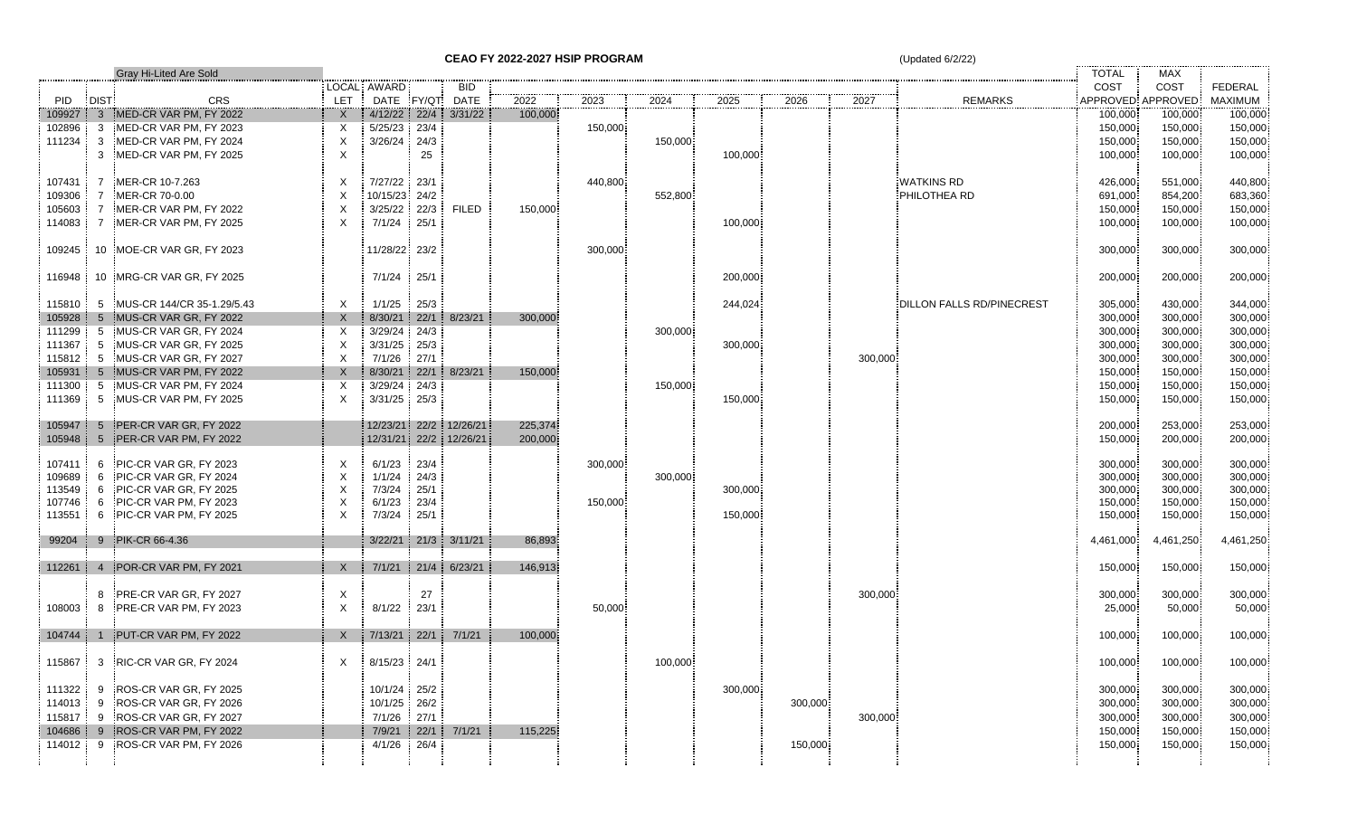|          |                 | Gray Hi-Lited Are Sold           |          |               |      |               |         |         |         | <b>TOTAL</b> | <b>MAX</b> |         |                                  |                    |                    |                |
|----------|-----------------|----------------------------------|----------|---------------|------|---------------|---------|---------|---------|--------------|------------|---------|----------------------------------|--------------------|--------------------|----------------|
|          |                 |                                  |          | LOCAL AWARD   |      | <b>BID</b>    |         |         |         |              |            |         |                                  | COST               | COST               | <b>FEDERAL</b> |
| PID      | <b>DIST</b>     | CRS                              | LET      | DATE FY/QT    |      | DATE          | 2022    | 2023    | 2024    | 2025         | 2026       | 2027    | <b>REMARKS</b>                   |                    | APPROVED APPROVED  | <b>MAXIMUM</b> |
| 109927   | $\overline{3}$  | MED-CR VAR PM, FY 2022           | $\times$ | 4/12/22       | 22/4 | 3/31/22       | 100,000 |         |         |              |            |         |                                  | 100,000            | 100,000            | 100,000        |
| 102896   | -3              | MED-CR VAR PM, FY 2023           | X        | 5/25/23       | 23/4 |               |         | 150,000 |         |              |            |         |                                  | 150,000            | 150,000            | 150,000        |
| 111234   | -3              | MED-CR VAR PM, FY 2024           | X        | 3/26/24       | 24/3 |               |         |         | 150,000 |              |            |         |                                  | 150,000            | 150,000            | 150,000        |
|          | 3               | MED-CR VAR PM, FY 2025           | X        |               | 25   |               |         |         |         | 100,000      |            |         |                                  | 100,000            | 100,000            | 100,000        |
|          |                 |                                  |          |               |      |               |         |         |         |              |            |         |                                  |                    |                    |                |
| 107431   | -7              | MER-CR 10-7.263                  | X        | 7/27/22       | 23/1 |               |         | 440,800 |         |              |            |         | <b>WATKINS RD</b>                | 426,000            | 551,000            | 440,800        |
| 109306   | -7              | MER-CR 70-0.00                   | X        | 10/15/23      | 24/2 |               |         |         | 552,800 |              |            |         | PHILOTHEA RD                     | 691,000            | 854,200            | 683,360        |
| 105603:  | -7              | MER-CR VAR PM, FY 2022           | X        | 3/25/22       | 22/3 | <b>FILED</b>  | 150,000 |         |         |              |            |         |                                  | 150,000            | 150,000            | 150,000        |
| 114083   | 7               | MER-CR VAR PM, FY 2025           |          | 7/1/24        | 25/1 |               |         |         |         | 100,000      |            |         |                                  | 100,000            | 100,000            | 100,000        |
|          |                 |                                  |          |               |      |               |         |         |         |              |            |         |                                  |                    |                    |                |
|          |                 | 109245 10 MOE-CR VAR GR, FY 2023 |          | 11/28/22 23/2 |      |               |         | 300,000 |         |              |            |         |                                  | 300,000            | 300,000            | 300,000        |
|          |                 |                                  |          |               |      |               |         |         |         |              |            |         |                                  |                    |                    |                |
|          |                 | 116948 10 MRG-CR VAR GR, FY 2025 |          | 7/1/24        | 25/1 |               |         |         |         | 200,000      |            |         |                                  | 200,000            | 200,000            | 200,000        |
|          |                 |                                  |          |               |      |               |         |         |         |              |            |         |                                  |                    |                    |                |
| 115810   |                 | 5 MUS-CR 144/CR 35-1.29/5.43     | $\times$ | 1/1/25        | 25/3 |               |         |         |         | 244,024      |            |         | <b>DILLON FALLS RD/PINECREST</b> | 305,000            | 430,000            | 344,000        |
| 105928   | 5 <sup>5</sup>  | MUS-CR VAR GR, FY 2022           | X        | 8/30/21       | 22/1 | 8/23/21       | 300,000 |         |         |              |            |         |                                  | 300,000            | 300,000            | 300,000        |
| 111299   | -5              | MUS-CR VAR GR, FY 2024           | X        | 3/29/24       | 24/3 |               |         |         | 300,000 |              |            |         |                                  | 300,000            | 300,000            | 300,000        |
| 111367   | -5              | MUS-CR VAR GR, FY 2025           | Х        | 3/31/25       | 25/3 |               |         |         |         | 300,000      |            |         |                                  | 300,000            | 300,000:           | 300,000        |
| 115812   | 5               | MUS-CR VAR GR, FY 2027           | X        | 7/1/26        | 27/1 |               |         |         |         |              |            | 300,000 |                                  | 300,000            | 300,000            | 300,000        |
| 105931   | $5\overline{)}$ | MUS-CR VAR PM, FY 2022           |          | 8/30/21       | 22/1 | 8/23/21       | 150,000 |         |         |              |            |         |                                  | 150,000            | 150,000            | 150,000        |
| 111300   | 5               | MUS-CR VAR PM, FY 2024           | X        | 3/29/24       | 24/3 |               |         |         | 150,000 |              |            |         |                                  | 150,000            | 150,000            | 150,000        |
| 111369:  | -5              | MUS-CR VAR PM, FY 2025           | X        | 3/31/25       | 25/3 |               |         |         |         | 150,000      |            |         |                                  | 150,000            | 150,000            | 150,000        |
|          |                 |                                  |          |               |      |               |         |         |         |              |            |         |                                  |                    |                    |                |
| 105947   | 5               | PER-CR VAR GR, FY 2022           |          | 12/23/21      |      | 22/2 12/26/21 | 225,374 |         |         |              |            |         |                                  | 200,000            | 253,000            | 253,000        |
| 105948 : | 5               | PER-CR VAR PM, FY 2022           |          | 12/31/21      |      | 22/2 12/26/21 | 200,000 |         |         |              |            |         |                                  | 150,000            | 200,000            | 200,000        |
| 107411   | 6               | PIC-CR VAR GR. FY 2023           |          | 6/1/23        | 23/4 |               |         |         |         |              |            |         |                                  |                    |                    | 300,000        |
| 109689   | -6              | PIC-CR VAR GR, FY 2024           | X<br>Х   | 1/1/24        | 24/3 |               |         | 300,000 | 300,000 |              |            |         |                                  | 300,000<br>300,000 | 300,000<br>300,000 | 300,000        |
| 113549   | 6               | PIC-CR VAR GR, FY 2025           | X        | 7/3/24        | 25/1 |               |         |         |         | 300,000      |            |         |                                  | 300,000            | 300,000            | 300,000        |
| 107746   | 6               | PIC-CR VAR PM, FY 2023           | X        | 6/1/23        | 23/4 |               |         | 150,000 |         |              |            |         |                                  | 150,000            | 150,000            | 150,000        |
| 113551   | 6               | PIC-CR VAR PM, FY 2025           | X        | 7/3/24        | 25/1 |               |         |         |         | 150,000      |            |         |                                  | 150,000            | 150,000            | 150,000        |
|          |                 |                                  |          |               |      |               |         |         |         |              |            |         |                                  |                    |                    |                |
| 99204    |                 | 9 PIK-CR 66-4.36                 |          | 3/22/21       |      | 21/3 3/11/21  | 86,893  |         |         |              |            |         |                                  | 4,461,000          | 4,461,250          | 4,461,250      |
|          |                 |                                  |          |               |      |               |         |         |         |              |            |         |                                  |                    |                    |                |
| 112261   |                 | 4 POR-CR VAR PM, FY 2021         | X        | 7/1/21        | 21/4 | 6/23/21       | 146,913 |         |         |              |            |         |                                  | 150,000            | 150,000            | 150,000        |
|          |                 |                                  |          |               |      |               |         |         |         |              |            |         |                                  |                    |                    |                |
|          | 8               | PRE-CR VAR GR, FY 2027           | Χ        |               | 27   |               |         |         |         |              |            | 300,000 |                                  | 300,000            | 300,000            | 300,000        |
| 108003   | -8              | PRE-CR VAR PM, FY 2023           | X        | 8/1/22        | 23/1 |               |         | 50,000  |         |              |            |         |                                  | 25,000             | 50,000             | 50,000         |
|          |                 |                                  |          |               |      |               |         |         |         |              |            |         |                                  |                    |                    |                |
| 104744   | -1              | PUT-CR VAR PM, FY 2022           | X        | 7/13/21       | 22/1 | 7/1/21        | 100,000 |         |         |              |            |         |                                  | 100,000            | 100,000            | 100,000        |
|          |                 |                                  |          |               |      |               |         |         |         |              |            |         |                                  |                    |                    |                |
| 115867   | 3               | RIC-CR VAR GR, FY 2024           | X        | 8/15/23 24/1  |      |               |         |         | 100,000 |              |            |         |                                  | 100,000            | 100,000            | 100,000        |
|          |                 |                                  |          |               |      |               |         |         |         |              |            |         |                                  |                    |                    |                |
| 111322   | 9               | ROS-CR VAR GR. FY 2025           |          | 10/1/24       | 25/2 |               |         |         |         | 300,000      |            |         |                                  | 300,000            | 300,000            | 300,000        |
| 114013   | 9               | ROS-CR VAR GR. FY 2026           |          | 10/1/25       | 26/2 |               |         |         |         |              | 300,000    |         |                                  | 300,000            | 300,000            | 300,000        |
| 115817   | 9               | ROS-CR VAR GR, FY 2027           |          | 7/1/26        | 27/1 |               |         |         |         |              |            | 300,000 |                                  | 300,000            | 300,000            | 300,000        |
| 104686 : | 9               | ROS-CR VAR PM, FY 2022           |          | 7/9/21        | 22/1 | 7/1/21        | 115,225 |         |         |              |            |         |                                  | 150,000            | 150,000            | 150,000        |
| 114012   | 9               | ROS-CR VAR PM, FY 2026           |          | 4/1/26        | 26/4 |               |         |         |         |              | 150,000    |         |                                  | 150,000            | 150,000            | 150,000        |
|          |                 |                                  |          |               |      |               |         |         |         |              |            |         |                                  |                    |                    |                |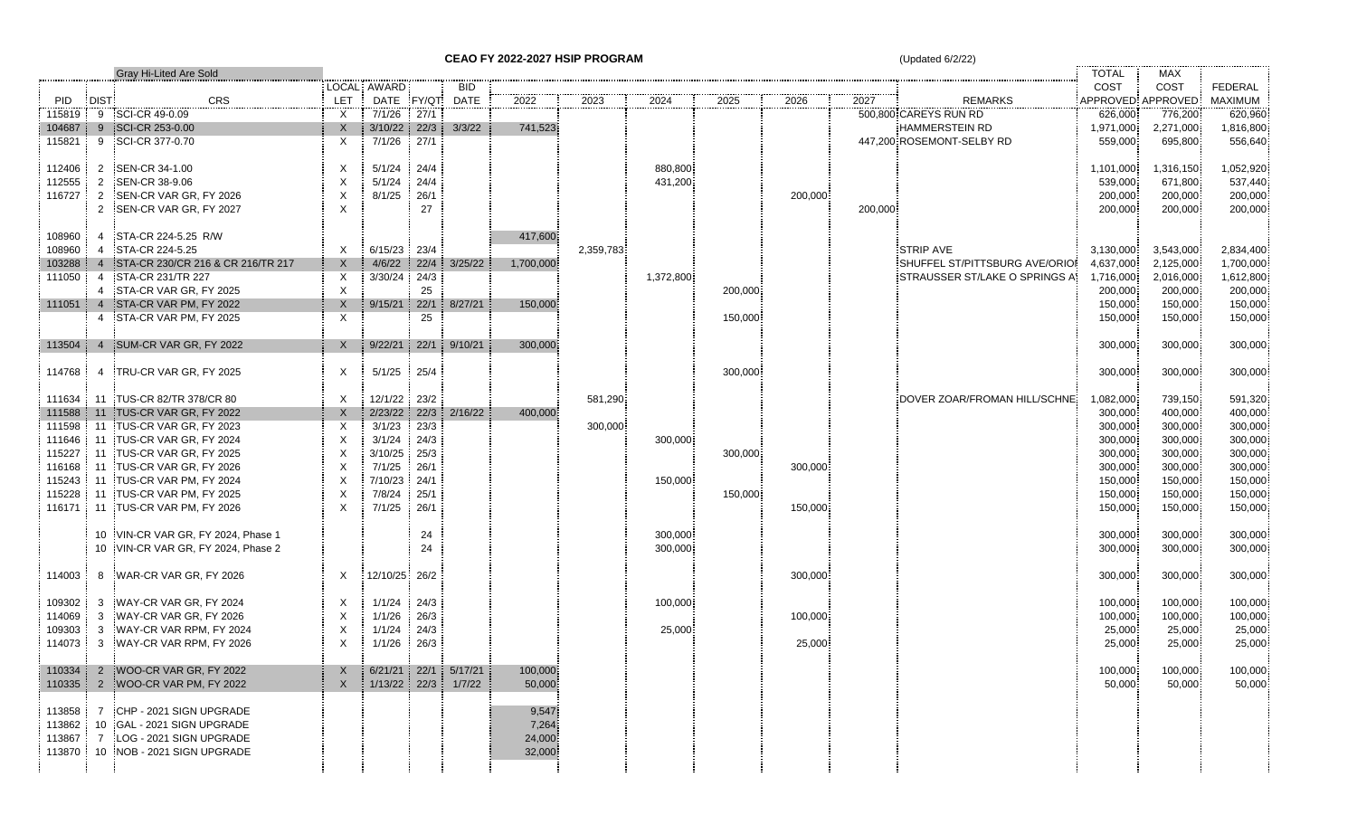|            |                | <b>Gray Hi-Lited Are Sold</b>      |              |                         |                  |                      |           |           |           |         |         |         |                                | <b>TOTAL</b> | MAX               |                |
|------------|----------------|------------------------------------|--------------|-------------------------|------------------|----------------------|-----------|-----------|-----------|---------|---------|---------|--------------------------------|--------------|-------------------|----------------|
|            |                |                                    |              | LOCAL AWARD             |                  | <b>BID</b>           |           |           |           |         |         |         |                                | COST         | COST              | <b>FEDERAL</b> |
| <b>PID</b> | DIST:          | <b>CRS</b>                         | LET          | DATE                    |                  | FY/QT DATE           | 2022      | 2023      | 2024      | 2025    | 2026    | 2027    | <b>REMARKS</b>                 |              | APPROVED APPROVED | <b>MAXIMUM</b> |
| 115819     |                | 9 SCI-CR 49-0.09                   | $\times$     | 7/1/26                  | 27/1             |                      |           |           |           |         |         |         | 500,800 CAREYS RUN RD          | 626,000      | 776,200           | 620,960        |
| 104687     |                | 9 SCI-CR 253-0.00                  | $\mathsf{X}$ | $3/10/22$ 22/3          |                  | 3/3/22               | 741,523   |           |           |         |         |         | <b>HAMMERSTEIN RD</b>          | 1,971,000    | 2,271,000         | 1,816,800      |
| 115821     |                | 9 SCI-CR 377-0.70                  | X            | 7/1/26                  | 27/1             |                      |           |           |           |         |         |         | 447.200 ROSEMONT-SELBY RD      | 559,000      | 695,800           | 556,640        |
|            |                |                                    |              |                         |                  |                      |           |           |           |         |         |         |                                |              |                   |                |
| 112406     |                | 2 SEN-CR 34-1.00                   | X            | 5/1/24                  | 24/4             |                      |           |           | 880,800   |         |         |         |                                | 1,101,000    | 1,316,150         | 1,052,920      |
| 112555     | 2              | SEN-CR 38-9.06                     | X            | 5/1/24                  | 24/4             |                      |           |           | 431,200   |         |         |         |                                | 539,000      | 671,800           | 537,440        |
| 116727     | $\overline{2}$ | SEN-CR VAR GR, FY 2026             | X            | 8/1/25                  | 26/1             |                      |           |           |           |         | 200,000 |         |                                | 200,000      | 200,000           | 200,000        |
|            |                | 2 SEN-CR VAR GR, FY 2027           | X            |                         | 27               |                      |           |           |           |         |         | 200,000 |                                | 200,000      | 200,000           | 200,000        |
|            |                |                                    |              |                         |                  |                      |           |           |           |         |         |         |                                |              |                   |                |
| 108960     |                | 4 STA-CR 224-5.25 R/W              |              |                         |                  |                      | 417,600   |           |           |         |         |         |                                |              |                   |                |
| 108960     | 4              | STA-CR 224-5.25                    | X            | 6/15/23 23/4            |                  |                      |           | 2,359,783 |           |         |         |         | <b>STRIP AVE</b>               | 3,130,000    | 3,543,000         | 2,834,400      |
| 103288     |                | STA-CR 230/CR 216 & CR 216/TR 217  | $\mathsf{X}$ | 4/6/22                  |                  | 22/4 3/25/22         | 1,700,000 |           |           |         |         |         | SHUFFEL ST/PITTSBURG AVE/ORIOI | 4,637,000    | 2,125,000         | 1,700,000      |
| 111050     | 4              | STA-CR 231/TR 227                  | $\times$     | 3/30/24 24/3            |                  |                      |           |           | 1,372,800 |         |         |         | STRAUSSER ST/LAKE O SPRINGS AT | 1,716,000    | 2,016,000         | 1,612,800      |
|            |                | STA-CR VAR GR, FY 2025             | X            |                         | 25               |                      |           |           |           | 200,000 |         |         |                                | 200,000      | 200,000           | 200,000        |
| $111051$ 4 |                | STA-CR VAR PM, FY 2022             | X            | 9/15/21                 | $\frac{1}{22/1}$ | 8/27/21              | 150,000   |           |           |         |         |         |                                | 150,000      | 150,000           | 150,000        |
|            |                | STA-CR VAR PM, FY 2025             | Χ            |                         | 25               |                      |           |           |           | 150,000 |         |         |                                | 150,000      | 150,000           | 150,000        |
|            |                |                                    |              |                         |                  |                      |           |           |           |         |         |         |                                |              |                   |                |
| 113504     |                | 4 SUM-CR VAR GR, FY 2022           | $\times$     | 9/22/21                 |                  | 22/1 9/10/21         | 300,000   |           |           |         |         |         |                                | 300,000      | 300,000:          | 300,000        |
|            |                |                                    |              |                         |                  |                      |           |           |           |         |         |         |                                |              |                   |                |
|            |                | 114768 4 TRU-CR VAR GR, FY 2025    | $\times$     | 5/1/25                  | 25/4             |                      |           |           |           | 300,000 |         |         |                                | 300,000      | 300,000           | 300,000        |
|            |                |                                    |              |                         |                  |                      |           |           |           |         |         |         |                                |              |                   |                |
|            |                | 111634 11 TUS-CR 82/TR 378/CR 80   | X            | 12/1/22 23/2            |                  |                      |           | 581,290   |           |         |         |         | DOVER ZOAR/FROMAN HILL/SCHNE   | 1,082,000    | 739,150           | 591,320        |
|            |                | 111588 11 TUS-CR VAR GR, FY 2022   | $\mathsf{X}$ |                         |                  | 2/23/22 22/3 2/16/22 | 400,000   |           |           |         |         |         |                                | 300,000      | 400,000           | 400,000        |
|            |                | 111598 11 TUS-CR VAR GR, FY 2023   | Χ            | 3/1/23                  | 23/3             |                      |           | 300,000   |           |         |         |         |                                | 300,000      | 300,000           | 300,000        |
|            |                | 111646 11 TUS-CR VAR GR, FY 2024   | X            | 3/1/24                  | 24/3             |                      |           |           | 300,000   |         |         |         |                                | 300,000      | 300,000           | 300,000        |
| 115227     |                | 11 TUS-CR VAR GR, FY 2025          | Х            | 3/10/25 25/3            |                  |                      |           |           |           | 300,000 |         |         |                                | 300,000      | 300,000           | 300,000:       |
| 116168     |                | 11 TUS-CR VAR GR, FY 2026          | Х            | 7/1/25                  | 26/1             |                      |           |           |           |         | 300,000 |         |                                | 300,000      | 300,000           | 300,000        |
|            |                | 115243 11 TUS-CR VAR PM, FY 2024   | Χ            | 7/10/23 24/1            |                  |                      |           |           | 150,000   |         |         |         |                                | 150,000      | 150,000           | 150,000        |
| 115228     |                | 11 TUS-CR VAR PM, FY 2025          | X            | 7/8/24                  | 25/1             |                      |           |           |           | 150,000 |         |         |                                | 150,000      | 150,000           | 150,000        |
|            |                | 116171 11 TUS-CR VAR PM, FY 2026   | X            | 7/1/25                  | 26/1             |                      |           |           |           |         | 150,000 |         |                                | 150,000      | 150,000           | 150,000        |
|            |                |                                    |              |                         |                  |                      |           |           |           |         |         |         |                                |              |                   |                |
|            |                | 10 VIN-CR VAR GR, FY 2024, Phase 1 |              |                         | 24               |                      |           |           | 300,000   |         |         |         |                                | 300,000      | 300,000           | 300,000        |
|            |                | 10 VIN-CR VAR GR, FY 2024, Phase 2 |              |                         | 24               |                      |           |           | 300,000   |         |         |         |                                | 300,000      | 300,000           | 300,000        |
|            |                |                                    |              |                         |                  |                      |           |           |           |         |         |         |                                |              |                   |                |
| 114003     |                | 8 WAR-CR VAR GR, FY 2026           | X            | 12/10/25 26/2           |                  |                      |           |           |           |         | 300,000 |         |                                | 300,000      | 300,000           | 300,000        |
|            |                |                                    |              |                         |                  |                      |           |           |           |         |         |         |                                |              |                   |                |
| 109302     |                | 3 WAY-CR VAR GR, FY 2024           | Х            | 1/1/24                  | 24/3             |                      |           |           | 100,000   |         |         |         |                                | 100,000      | 100,000           | 100,000        |
| 114069     | 3              | WAY-CR VAR GR, FY 2026             | $\times$     | 1/1/26                  | 26/3             |                      |           |           |           |         | 100,000 |         |                                | 100,000      | 100,000:          | 100,000        |
| 109303     | 3              | WAY-CR VAR RPM, FY 2024            | Χ            | 1/1/24                  | 24/3             |                      |           |           | 25,000    |         |         |         |                                | 25,000       | 25,000            | 25,000         |
| 114073     | 3              | WAY-CR VAR RPM, FY 2026            | X            | 1/1/26                  | 26/3             |                      |           |           |           |         | 25,000  |         |                                | 25,000       | 25,000            | 25,000         |
|            |                |                                    |              |                         |                  |                      |           |           |           |         |         |         |                                |              |                   |                |
|            |                | 110334 2 WOO-CR VAR GR, FY 2022    | X            |                         |                  | 6/21/21 22/1 5/17/21 | 100,000   |           |           |         |         |         |                                | 100,000      | 100,000           | 100,000        |
|            |                | 110335 2 WOO-CR VAR PM, FY 2022    | $\mathsf{X}$ | $1/13/22$ 22/3 $1/7/22$ |                  |                      | 50,000    |           |           |         |         |         |                                | 50,000       | 50,000            | 50,000         |
|            |                |                                    |              |                         |                  |                      |           |           |           |         |         |         |                                |              |                   |                |
|            |                | 113858 7 CHP - 2021 SIGN UPGRADE   |              |                         |                  |                      | 9,547     |           |           |         |         |         |                                |              |                   |                |
|            |                |                                    |              |                         |                  |                      | 7,264     |           |           |         |         |         |                                |              |                   |                |
|            |                | 113867 7 LOG - 2021 SIGN UPGRADE   |              |                         |                  |                      | 24,000    |           |           |         |         |         |                                |              |                   |                |
|            |                | 113870 10 NOB - 2021 SIGN UPGRADE  |              |                         |                  |                      | 32,000    |           |           |         |         |         |                                |              |                   |                |
|            |                |                                    |              |                         |                  |                      |           |           |           |         |         |         |                                |              |                   |                |